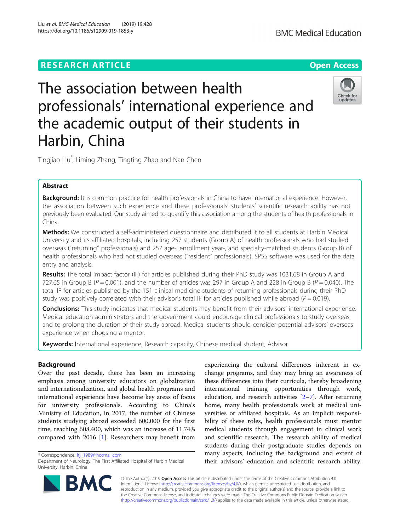# **RESEARCH ARTICLE Example 2014 12:30 The Contract of Contract ACCESS**



# The association between health professionals' international experience and the academic output of their students in Harbin, China



Tingjiao Liu\* , Liming Zhang, Tingting Zhao and Nan Chen

# Abstract

Background: It is common practice for health professionals in China to have international experience. However, the association between such experience and these professionals' students' scientific research ability has not previously been evaluated. Our study aimed to quantify this association among the students of health professionals in China.

Methods: We constructed a self-administered questionnaire and distributed it to all students at Harbin Medical University and its affiliated hospitals, including 257 students (Group A) of health professionals who had studied overseas ("returning" professionals) and 257 age-, enrollment year-, and specialty-matched students (Group B) of health professionals who had not studied overseas ("resident" professionals). SPSS software was used for the data entry and analysis.

Results: The total impact factor (IF) for articles published during their PhD study was 1031.68 in Group A and 727.65 in Group B ( $P = 0.001$ ), and the number of articles was 297 in Group A and 228 in Group B ( $P = 0.040$ ). The total IF for articles published by the 151 clinical medicine students of returning professionals during their PhD study was positively correlated with their advisor's total IF for articles published while abroad ( $P = 0.019$ ).

**Conclusions:** This study indicates that medical students may benefit from their advisors' international experience. Medical education administrators and the government could encourage clinical professionals to study overseas and to prolong the duration of their study abroad. Medical students should consider potential advisors' overseas experience when choosing a mentor.

Keywords: International experience, Research capacity, Chinese medical student, Advisor

# Background

Over the past decade, there has been an increasing emphasis among university educators on globalization and internationalization, and global health programs and international experience have become key areas of focus for university professionals. According to China's Ministry of Education, in 2017, the number of Chinese students studying abroad exceeded 600,000 for the first time, reaching 608,400, which was an increase of 11.74% compared with 2016 [[1](#page-5-0)]. Researchers may benefit from

\* Correspondence: [ltj\\_1989@hotmail.com](mailto:ltj_1989@hotmail.com)

experiencing the cultural differences inherent in exchange programs, and they may bring an awareness of these differences into their curricula, thereby broadening international training opportunities through work, education, and research activities  $[2-7]$  $[2-7]$  $[2-7]$  $[2-7]$ . After returning home, many health professionals work at medical universities or affiliated hospitals. As an implicit responsibility of these roles, health professionals must mentor medical students through engagement in clinical work and scientific research. The research ability of medical students during their postgraduate studies depends on many aspects, including the background and extent of their advisors' education and scientific research ability.



© The Author(s). 2019 **Open Access** This article is distributed under the terms of the Creative Commons Attribution 4.0 International License [\(http://creativecommons.org/licenses/by/4.0/](http://creativecommons.org/licenses/by/4.0/)), which permits unrestricted use, distribution, and reproduction in any medium, provided you give appropriate credit to the original author(s) and the source, provide a link to the Creative Commons license, and indicate if changes were made. The Creative Commons Public Domain Dedication waiver [\(http://creativecommons.org/publicdomain/zero/1.0/](http://creativecommons.org/publicdomain/zero/1.0/)) applies to the data made available in this article, unless otherwise stated.

Department of Neurology, The First Affiliated Hospital of Harbin Medical University, Harbin, China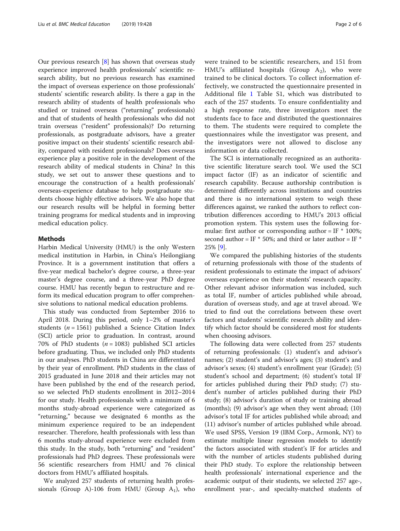Our previous research [[8\]](#page-5-0) has shown that overseas study experience improved health professionals' scientific research ability, but no previous research has examined the impact of overseas experience on those professionals' students' scientific research ability. Is there a gap in the research ability of students of health professionals who studied or trained overseas ("returning" professionals) and that of students of health professionals who did not train overseas ("resident" professionals)? Do returning professionals, as postgraduate advisors, have a greater positive impact on their students' scientific research ability, compared with resident professionals? Does overseas experience play a positive role in the development of the research ability of medical students in China? In this study, we set out to answer these questions and to encourage the construction of a health professionals' overseas-experience database to help postgraduate students choose highly effective advisors. We also hope that our research results will be helpful in forming better training programs for medical students and in improving medical education policy.

# Methods

Harbin Medical University (HMU) is the only Western medical institution in Harbin, in China's Heilongjiang Province. It is a government institution that offers a five-year medical bachelor's degree course, a three-year master's degree course, and a three-year PhD degree course. HMU has recently begun to restructure and reform its medical education program to offer comprehensive solutions to national medical education problems.

This study was conducted from September 2016 to April 2018. During this period, only 1–2% of master's students ( $n = 1561$ ) published a Science Citation Index (SCI) article prior to graduation. In contrast, around 70% of PhD students ( $n = 1083$ ) published SCI articles before graduating. Thus, we included only PhD students in our analyses. PhD students in China are differentiated by their year of enrollment. PhD students in the class of 2015 graduated in June 2018 and their articles may not have been published by the end of the research period, so we selected PhD students enrollment in 2012–2014 for our study. Health professionals with a minimum of 6 months study-abroad experience were categorized as "returning," because we designated 6 months as the minimum experience required to be an independent researcher. Therefore, health professionals with less than 6 months study-abroad experience were excluded from this study. In the study, both "returning" and "resident" professionals had PhD degrees. These professionals were 56 scientific researchers from HMU and 76 clinical doctors from HMU's affiliated hospitals.

We analyzed 257 students of returning health professionals (Group A)-106 from HMU (Group  $A_1$ ), who were trained to be scientific researchers, and 151 from HMU's affiliated hospitals (Group  $A_2$ ), who were trained to be clinical doctors. To collect information effectively, we constructed the questionnaire presented in Additional file [1](#page-5-0) Table S1, which was distributed to each of the 257 students. To ensure confidentiality and a high response rate, three investigators meet the students face to face and distributed the questionnaires to them. The students were required to complete the questionnaires while the investigator was present, and the investigators were not allowed to disclose any information or data collected.

The SCI is internationally recognized as an authoritative scientific literature search tool. We used the SCI impact factor (IF) as an indicator of scientific and research capability. Because authorship contribution is determined differently across institutions and countries and there is no international system to weigh these differences against, we ranked the authors to reflect contribution differences according to HMU's 2013 official promotion system. This system uses the following formulae: first author or corresponding author = IF  $*$  100%; second author = IF  $*$  50%; and third or later author = IF  $*$ 25% [[9](#page-5-0)].

We compared the publishing histories of the students of returning professionals with those of the students of resident professionals to estimate the impact of advisors' overseas experience on their students' research capacity. Other relevant advisor information was included, such as total IF, number of articles published while abroad, duration of overseas study, and age at travel abroad. We tried to find out the correlations between these overt factors and students' scientific research ability and identify which factor should be considered most for students when choosing advisors.

The following data were collected from 257 students of returning professionals: (1) student's and advisor's names; (2) student's and advisor's ages; (3) student's and advisor's sexes; (4) student's enrollment year (Grade); (5) student's school and department; (6) student's total IF for articles published during their PhD study; (7) student's number of articles published during their PhD study; (8) advisor's duration of study or training abroad (months); (9) advisor's age when they went abroad; (10) advisor's total IF for articles published while abroad; and (11) advisor's number of articles published while abroad. We used SPSS, Version 19 (IBM Corp., Armonk, NY) to estimate multiple linear regression models to identify the factors associated with student's IF for articles and with the number of articles students published during their PhD study. To explore the relationship between health professionals' international experience and the academic output of their students, we selected 257 age-, enrollment year-, and specialty-matched students of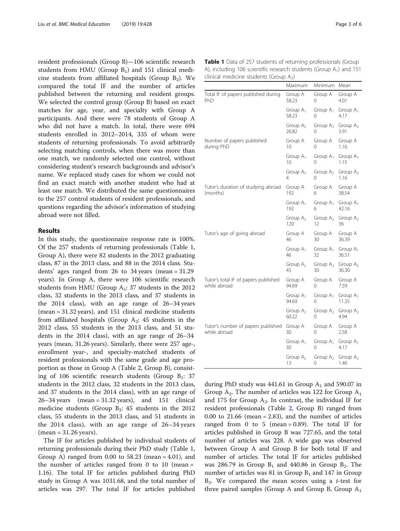<span id="page-2-0"></span>resident professionals (Group B)—106 scientific research students from HMU (Group  $B_1$ ) and 151 clinical medicine students from affiliated hospitals (Group  $B_2$ ). We compared the total IF and the number of articles published between the returning and resident groups. We selected the control group (Group B) based on exact matches for age, year, and specialty with Group A participants. And there were 78 students of Group A who did not have a match. In total, there were 694 students enrolled in 2012–2014, 335 of whom were students of returning professionals. To avoid arbitrarily selecting matching controls, when there was more than one match, we randomly selected one control, without considering student's research backgrounds and advisor's name. We replaced study cases for whom we could not find an exact match with another student who had at least one match. We distributed the same questionnaires to the 257 control students of resident professionals, and questions regarding the advisor's information of studying abroad were not filled.

# Results

In this study, the questionnaire response rate is 100%. Of the 257 students of returning professionals (Table 1, Group A), there were 82 students in the 2012 graduating class, 87 in the 2013 class, and 88 in the 2014 class. Students' ages ranged from 26 to 34 years (mean = 31.29 years). In Group A, there were 106 scientific research students from HMU (Group  $A_1$ : 37 students in the 2012 class, 32 students in the 2013 class, and 37 students in the 2014 class), with an age range of 26–34 years (mean = 31.32 years), and 151 clinical medicine students from affiliated hospitals (Group  $A_2$ : 45 students in the 2012 class, 55 students in the 2013 class, and 51 students in the 2014 class), with an age range of 26–34 years (mean, 31.26 years). Similarly, there were 257 age-, enrollment year-, and specialty-matched students of resident professionals with the same grade and age proportion as those in Group A (Table [2](#page-3-0), Group B), consisting of 106 scientific research students (Group  $B_1$ : 37 students in the 2012 class, 32 students in the 2013 class, and 37 students in the 2014 class), with an age range of 26–34 years (mean = 31.32 years), and 151 clinical medicine students (Group  $B_2$ : 45 students in the 2012 class, 55 students in the 2013 class, and 51 students in the 2014 class), with an age range of 26–34 years (mean = 31.26 years).

The IF for articles published by individual students of returning professionals during their PhD study (Table 1, Group A) ranged from 0.00 to 58.23 (mean = 4.01), and the number of articles ranged from 0 to 10 (mean  $=$ 1.16). The total IF for articles published during PhD study in Group A was 1031.68, and the total number of articles was 297. The total IF for articles published

Table 1 Data of 257 students of returning professionals (Group A), including 106 scientific research students (Group  $A_1$ ) and 151 clinical medicine students (Group  $A_2$ )

|                                                      | Maximum              | Minimum           | Mean                         |
|------------------------------------------------------|----------------------|-------------------|------------------------------|
| Total IF of papers published during<br>PhD           | Group A<br>58.23     | Group A<br>0      | Group A<br>4.01              |
|                                                      | Group $A_1$<br>58.23 | Group $A_1$<br>0  | Group $A_1$<br>4.17          |
|                                                      | Group $A_2$<br>26.82 | Group $A_2$<br>0  | Group $A_2$<br>3.91          |
| Number of papers published<br>during PhD             | Group A<br>10        | Group A<br>0      | Group A<br>1.16              |
|                                                      | Group $A_1$<br>10    | Group $A_1$<br>0  | Group A <sub>1</sub><br>1.15 |
|                                                      | Group $A_2$<br>4     | Group $A_2$<br>0  | Group $A_2$<br>1.16          |
| Tutor's duration of studying abroad<br>(months)      | Group A<br>192       | Group A<br>6      | Group A<br>38.54             |
|                                                      | Group $A_1$<br>192   | Group $A_1$<br>6  | Group $A_1$<br>42.16         |
|                                                      | Group $A_2$<br>120   | Group $A_2$<br>12 | Group $A_2$<br>36            |
| Tutor's age of going abroad                          | Group A<br>46        | Group A<br>30     | Group A<br>36.39             |
|                                                      | Group $A_1$<br>46    | Group $A_1$<br>32 | Group $A_1$<br>36.51         |
|                                                      | Group $A_2$<br>45    | Group $A_2$<br>30 | Group $A_2$<br>36.30         |
| Tutor's total IF of papers published<br>while abroad | Group A<br>94.69     | Group A<br>0      | Group A<br>7.59              |
|                                                      | Group $A_1$<br>94.69 | Group $A_1$<br>0  | Group $A_1$<br>11.35         |
|                                                      | Group $A_2$<br>60.22 | Group $A_2$<br>0  | Group $A_2$<br>4.94          |
| Tutor's number of papers published<br>while abroad   | Group A<br>30        | Group A<br>0      | Group A<br>2.58              |
|                                                      | Group $A_1$<br>30    | Group $A_1$<br>0  | Group A <sub>1</sub><br>4.17 |
|                                                      | Group $A_2$<br>13    | Group $A_2$<br>0  | Group $A_2$<br>1.46          |

during PhD study was  $441.61$  in Group  $A_1$  and 590.07 in Group  $A_2$ . The number of articles was 122 for Group  $A_1$ and 175 for Group  $A_2$ . In contrast, the individual IF for resident professionals (Table [2,](#page-3-0) Group B) ranged from 0.00 to  $21.66$  (mean = 2.83), and the number of articles ranged from 0 to 5 (mean =  $0.89$ ). The total IF for articles published in Group B was 727.65, and the total number of articles was 228. A wide gap was observed between Group A and Group B for both total IF and number of articles. The total IF for articles published was 286.79 in Group  $B_1$  and 440.86 in Group  $B_2$ . The number of articles was 81 in Group  $B_1$  and 147 in Group  $B<sub>2</sub>$ . We compared the mean scores using a *t*-test for three paired samples (Group A and Group B, Group  $A_1$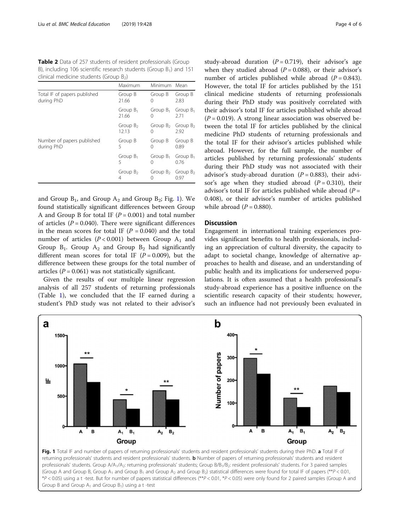<span id="page-3-0"></span>Table 2 Data of 257 students of resident professionals (Group B), including 106 scientific research students (Group B<sub>1</sub>) and 151 clinical medicine students (Group  $B_2$ )

|                                            | Maximum              | Minimum Mean                    |                     |
|--------------------------------------------|----------------------|---------------------------------|---------------------|
| Total IF of papers published<br>during PhD | Group B<br>21.66     | Group B<br>$\left( \right)$     | Group B<br>2.83     |
|                                            | Group $B_1$<br>21.66 | Group $B_1$<br>$\left( \right)$ | Group $B_1$<br>2.71 |
|                                            | Group $B_2$<br>12.13 | Group $B_2$<br>$^{(1)}$         | Group $B_2$<br>2.92 |
| Number of papers published<br>during PhD   | Group B<br>5         | Group B<br>$^{(1)}$             | Group B<br>0.89     |
|                                            | Group $B_1$<br>5     | Group $B_1$<br>$\left( \right)$ | Group $B_1$<br>0.76 |
|                                            | Group $B_2$<br>4     | Group $B_2$<br>$\left( \right)$ | Group $B_2$<br>0.97 |

and Group  $B_1$ , and Group  $A_2$  and Group  $B_2$ ; Fig. 1). We found statistically significant differences between Group A and Group B for total IF  $(P = 0.001)$  and total number of articles  $(P = 0.040)$ . There were significant differences in the mean scores for total IF  $(P = 0.040)$  and the total number of articles ( $P < 0.001$ ) between Group A<sub>1</sub> and Group  $B_1$ . Group  $A_2$  and Group  $B_2$  had significantly different mean scores for total IF  $(P = 0.009)$ , but the difference between these groups for the total number of articles ( $P = 0.061$ ) was not statistically significant.

Given the results of our multiple linear regression analysis of all 257 students of returning professionals (Table [1](#page-2-0)), we concluded that the IF earned during a student's PhD study was not related to their advisor's study-abroad duration  $(P = 0.719)$ , their advisor's age when they studied abroad ( $P = 0.088$ ), or their advisor's number of articles published while abroad  $(P = 0.843)$ . However, the total IF for articles published by the 151 clinical medicine students of returning professionals during their PhD study was positively correlated with their advisor's total IF for articles published while abroad  $(P = 0.019)$ . A strong linear association was observed between the total IF for articles published by the clinical medicine PhD students of returning professionals and the total IF for their advisor's articles published while abroad. However, for the full sample, the number of articles published by returning professionals' students during their PhD study was not associated with their advisor's study-abroad duration ( $P = 0.883$ ), their advisor's age when they studied abroad  $(P = 0.310)$ , their advisor's total IF for articles published while abroad ( $P =$ 0.408), or their advisor's number of articles published while abroad  $(P = 0.880)$ .

# **Discussion**

Engagement in international training experiences provides significant benefits to health professionals, including an appreciation of cultural diversity, the capacity to adapt to societal change, knowledge of alternative approaches to health and disease, and an understanding of public health and its implications for underserved populations. It is often assumed that a health professional's study-abroad experience has a positive influence on the scientific research capacity of their students; however, such an influence had not previously been evaluated in



Fig. 1 Total IF and number of papers of returning professionals' students and resident professionals' students during their PhD. a Total IF of returning professionals' students and resident professionals' students. b Number of papers of returning professionals' students and resident professionals' students. Group A/A<sub>1</sub>/A<sub>2</sub>: returning professionals' students; Group B/B<sub>1</sub>/B<sub>2</sub>: resident professionals' students. For 3 paired samples (Group A and Group B, Group A<sub>1</sub> and Group B<sub>1</sub> and Group A<sub>2</sub> and Group B<sub>2</sub>) statistical differences were found for total IF of papers (\*\*P < 0.01,  $*P < 0.05$ ) using a t-test. But for number of papers statistical differences ( $*P < 0.01$ ,  $*P < 0.05$ ) were only found for 2 paired samples (Group A and Group B and Group  $A_1$  and Group  $B_1$ ) using a t-test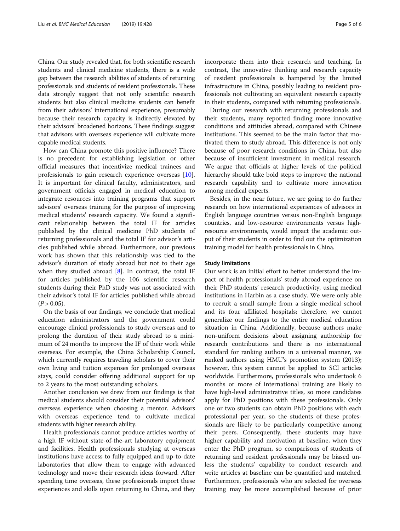China. Our study revealed that, for both scientific research students and clinical medicine students, there is a wide gap between the research abilities of students of returning professionals and students of resident professionals. These data strongly suggest that not only scientific research students but also clinical medicine students can benefit from their advisors' international experience, presumably because their research capacity is indirectly elevated by their advisors' broadened horizons. These findings suggest that advisors with overseas experience will cultivate more capable medical students.

How can China promote this positive influence? There is no precedent for establishing legislation or other official measures that incentivize medical trainees and professionals to gain research experience overseas [\[10](#page-5-0)]. It is important for clinical faculty, administrators, and government officials engaged in medical education to integrate resources into training programs that support advisors' overseas training for the purpose of improving medical students' research capacity. We found a significant relationship between the total IF for articles published by the clinical medicine PhD students of returning professionals and the total IF for advisor's articles published while abroad. Furthermore, our previous work has shown that this relationship was tied to the advisor's duration of study abroad but not to their age when they studied abroad [\[8](#page-5-0)]. In contrast, the total IF for articles published by the 106 scientific research students during their PhD study was not associated with their advisor's total IF for articles published while abroad  $(P > 0.05)$ .

On the basis of our findings, we conclude that medical education administrators and the government could encourage clinical professionals to study overseas and to prolong the duration of their study abroad to a minimum of 24 months to improve the IF of their work while overseas. For example, the China Scholarship Council, which currently requires traveling scholars to cover their own living and tuition expenses for prolonged overseas stays, could consider offering additional support for up to 2 years to the most outstanding scholars.

Another conclusion we drew from our findings is that medical students should consider their potential advisors' overseas experience when choosing a mentor. Advisors with overseas experience tend to cultivate medical students with higher research ability.

Health professionals cannot produce articles worthy of a high IF without state-of-the-art laboratory equipment and facilities. Health professionals studying at overseas institutions have access to fully equipped and up-to-date laboratories that allow them to engage with advanced technology and move their research ideas forward. After spending time overseas, these professionals import these experiences and skills upon returning to China, and they

incorporate them into their research and teaching. In contrast, the innovative thinking and research capacity of resident professionals is hampered by the limited infrastructure in China, possibly leading to resident professionals not cultivating an equivalent research capacity in their students, compared with returning professionals.

During our research with returning professionals and their students, many reported finding more innovative conditions and attitudes abroad, compared with Chinese institutions. This seemed to be the main factor that motivated them to study abroad. This difference is not only because of poor research conditions in China, but also because of insufficient investment in medical research. We argue that officials at higher levels of the political hierarchy should take bold steps to improve the national research capability and to cultivate more innovation among medical experts.

Besides, in the near future, we are going to do further research on how international experiences of advisors in English language countries versus non-English language countries, and low-resource environments versus highresource environments, would impact the academic output of their students in order to find out the optimization training model for health professionals in China.

# Study limitations

Our work is an initial effort to better understand the impact of health professionals' study-abroad experience on their PhD students' research productivity, using medical institutions in Harbin as a case study. We were only able to recruit a small sample from a single medical school and its four affiliated hospitals; therefore, we cannot generalize our findings to the entire medical education situation in China. Additionally, because authors make non-uniform decisions about assigning authorship for research contributions and there is no international standard for ranking authors in a universal manner, we ranked authors using HMU's promotion system (2013); however, this system cannot be applied to SCI articles worldwide. Furthermore, professionals who undertook 6 months or more of international training are likely to have high-level administrative titles, so more candidates apply for PhD positions with these professionals. Only one or two students can obtain PhD positions with each professional per year, so the students of these professionals are likely to be particularly competitive among their peers. Consequently, these students may have higher capability and motivation at baseline, when they enter the PhD program, so comparisons of students of returning and resident professionals may be biased unless the students' capability to conduct research and write articles at baseline can be quantified and matched. Furthermore, professionals who are selected for overseas training may be more accomplished because of prior